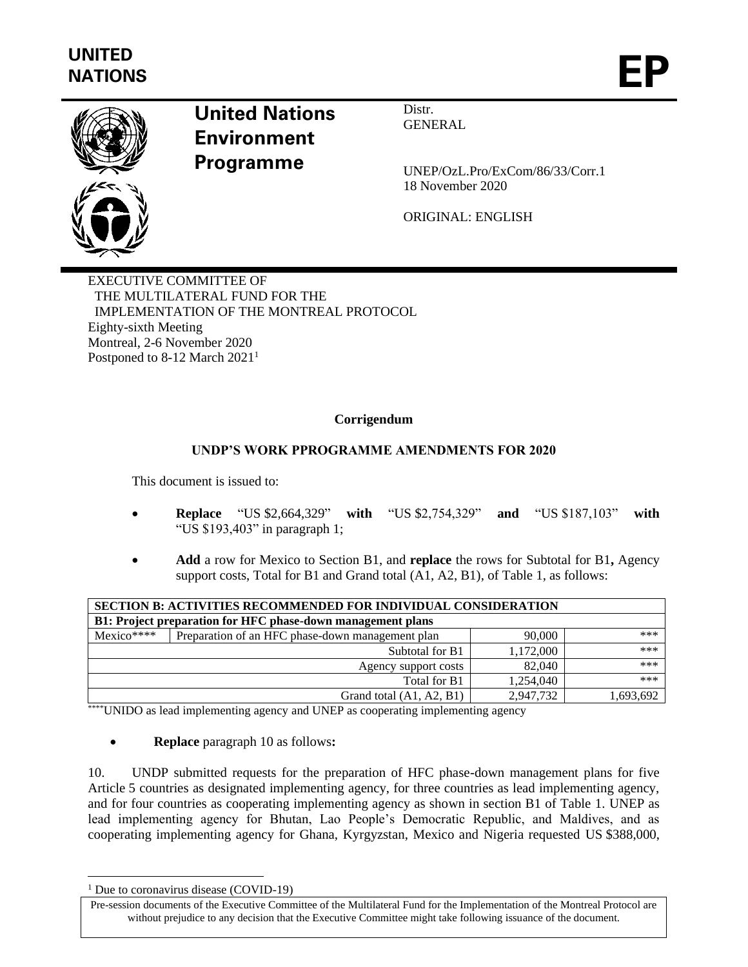

## **United Nations Environment Programme**

Distr. **GENERAL** 

UNEP/OzL.Pro/ExCom/86/33/Corr.1 18 November 2020

ORIGINAL: ENGLISH

EXECUTIVE COMMITTEE OF THE MULTILATERAL FUND FOR THE IMPLEMENTATION OF THE MONTREAL PROTOCOL Eighty-sixth Meeting Montreal, 2-6 November 2020 Postponed to 8-12 March 2021<sup>1</sup>

## **Corrigendum**

## **UNDP'S WORK PPROGRAMME AMENDMENTS FOR 2020**

This document is issued to:

- **Replace** "US \$2,664,329" **with** "US \$2,754,329" **and** "US \$187,103" **with** "US \$193,403" in paragraph 1;
- **Add** a row for Mexico to Section B1, and **replace** the rows for Subtotal for B1**,** Agency support costs, Total for B1 and Grand total (A1, A2, B1), of Table 1, as follows:

| <b>SECTION B: ACTIVITIES RECOMMENDED FOR INDIVIDUAL CONSIDERATION</b> |                                                  |           |           |
|-----------------------------------------------------------------------|--------------------------------------------------|-----------|-----------|
| B1: Project preparation for HFC phase-down management plans           |                                                  |           |           |
| $Mexico***$                                                           | Preparation of an HFC phase-down management plan | 90,000    | ***       |
|                                                                       | Subtotal for B1                                  | 1,172,000 | ***       |
| Agency support costs                                                  |                                                  | 82,040    | ***       |
| Total for B1                                                          |                                                  | 1,254,040 | ***       |
| Grand total (A1, A2, B1)                                              |                                                  | 2,947,732 | 1,693,692 |

\*\*\*\*\*UNIDO as lead implementing agency and UNEP as cooperating implementing agency

• **Replace** paragraph 10 as follows**:**

10. UNDP submitted requests for the preparation of HFC phase-down management plans for five Article 5 countries as designated implementing agency, for three countries as lead implementing agency, and for four countries as cooperating implementing agency as shown in section B1 of Table 1. UNEP as lead implementing agency for Bhutan, Lao People's Democratic Republic, and Maldives, and as cooperating implementing agency for Ghana, Kyrgyzstan, Mexico and Nigeria requested US \$388,000,

<sup>&</sup>lt;sup>1</sup> Due to coronavirus disease (COVID-19)

Pre-session documents of the Executive Committee of the Multilateral Fund for the Implementation of the Montreal Protocol are without prejudice to any decision that the Executive Committee might take following issuance of the document.